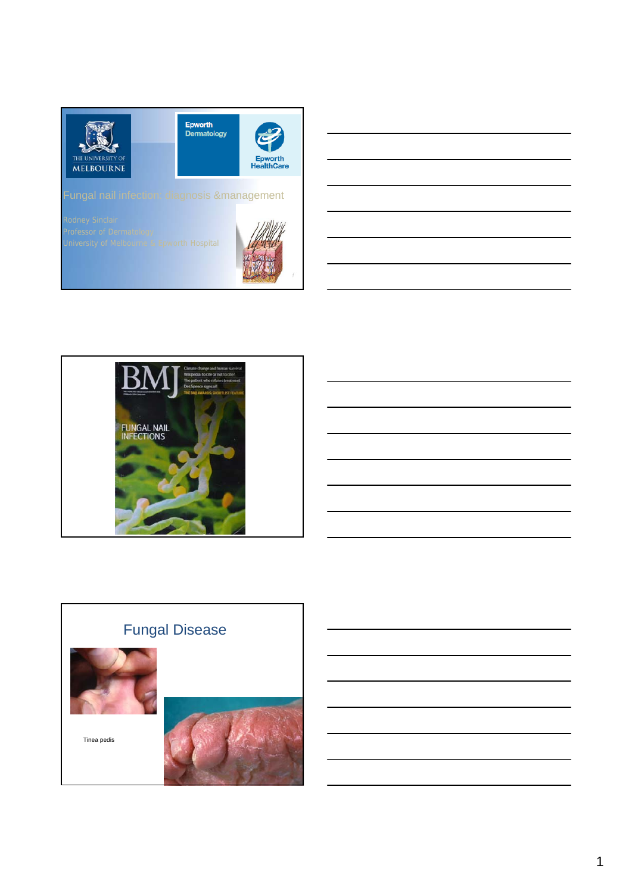



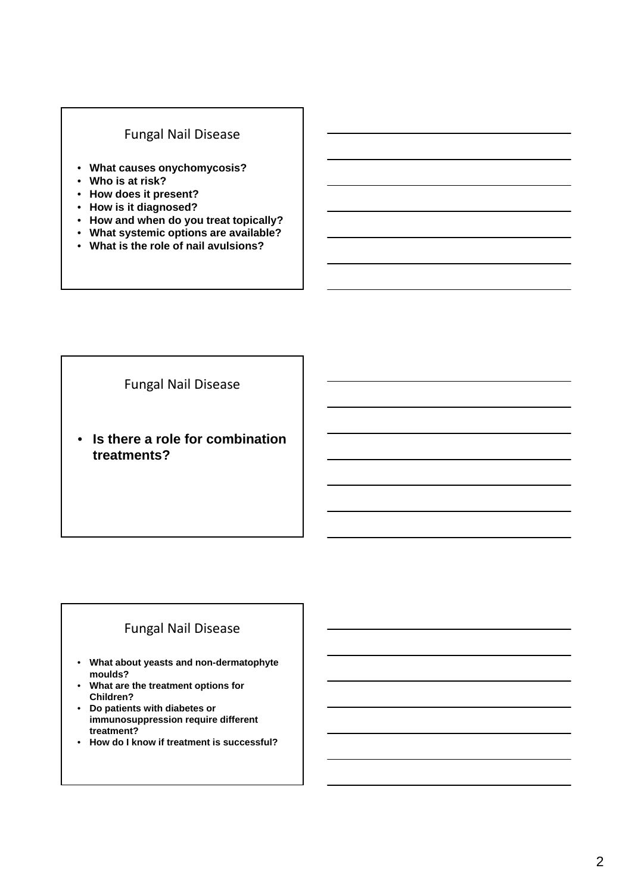### Fungal Nail Disease

- **What causes onychomycosis?**
- **Who is at risk?**
- **How does it present?**
- **How is it diagnosed?**
- **How and when do you treat topically?**
- **What systemic options are available?**
- **What is the role of nail avulsions?**

Fungal Nail Disease

• **Is there a role for combination treatments?**

### Fungal Nail Disease

- **What about yeasts and non-dermatophyte moulds?**
- **What are the treatment options for Children?**
- **Do patients with diabetes or immunosuppression require different treatment?**
- **How do I know if treatment is successful?**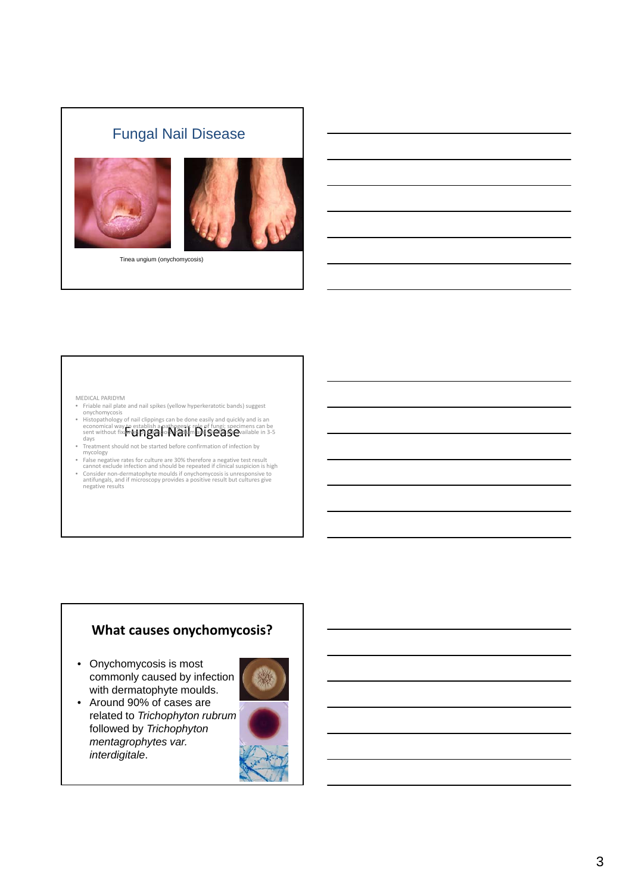## Fungal Nail Disease





Tinea ungium (onychomycosis)

- MEDICAL PARIDYM Friable nail plate and nail spikes (yellow hyperkeratotic bands) suggest onychomycosis
- Histopathology of nail clippings can be done easily and quickly and is an<br>economical way to establish a pathogenic role of fungi; specimens can be<br>sent without fixatilet **in Base**<br>days<br>days
- 
- Treatment should not be started before confirmation of infection by<br>False negative rates for culture are 30% therefore a negative test result<br>Ealse negative rates for culture are 30% therefore a negative test result<br>cannot • Consider non‐dermatophyte moulds if onychomycosisis unresponsive to antifungals, and if microscopy provides <sup>a</sup> positive result but cultures give negative results

### **What causes onychomycosis?**

• Onychomycosis is most commonly caused by infection with dermatophyte moulds.



• Around 90% of cases are related to *Trichophyton rubrum* followed by *Trichophyton mentagrophytes var. interdigitale*.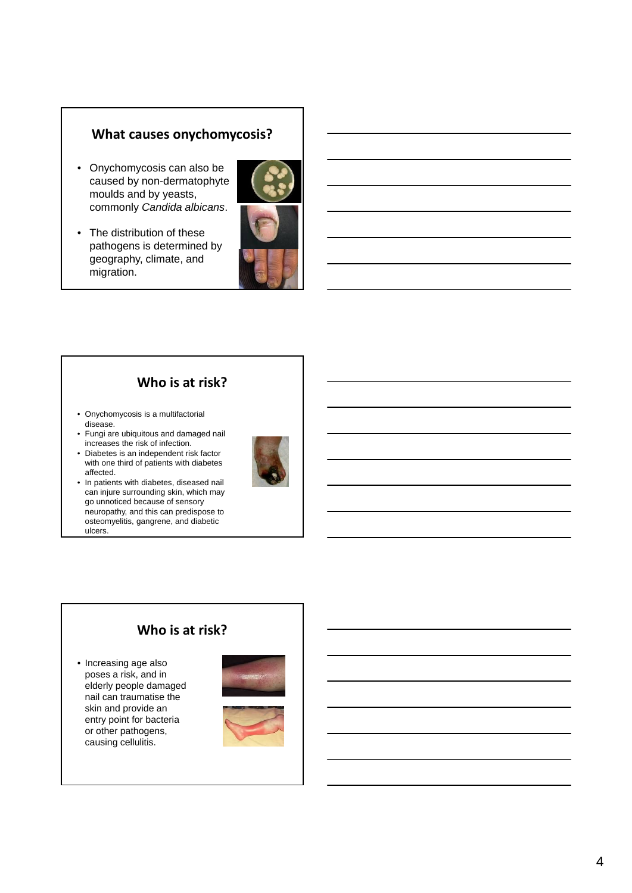### **What causes onychomycosis?**

- Onychomycosis can also be caused by non-dermatophyte moulds and by yeasts, commonly *Candida albicans*.
- The distribution of these pathogens is determined by geography, climate, and migration.



### **Who is at risk?**

- Onychomycosis is a multifactorial disease.
- Fungi are ubiquitous and damaged nail increases the risk of infection.
- Diabetes is an independent risk factor with one third of patients with diabetes affected.





### **Who is at risk?**

• Increasing age also poses a risk, and in elderly people damaged nail can traumatise the skin and provide an entry point for bacteria or other pathogens, causing cellulitis.



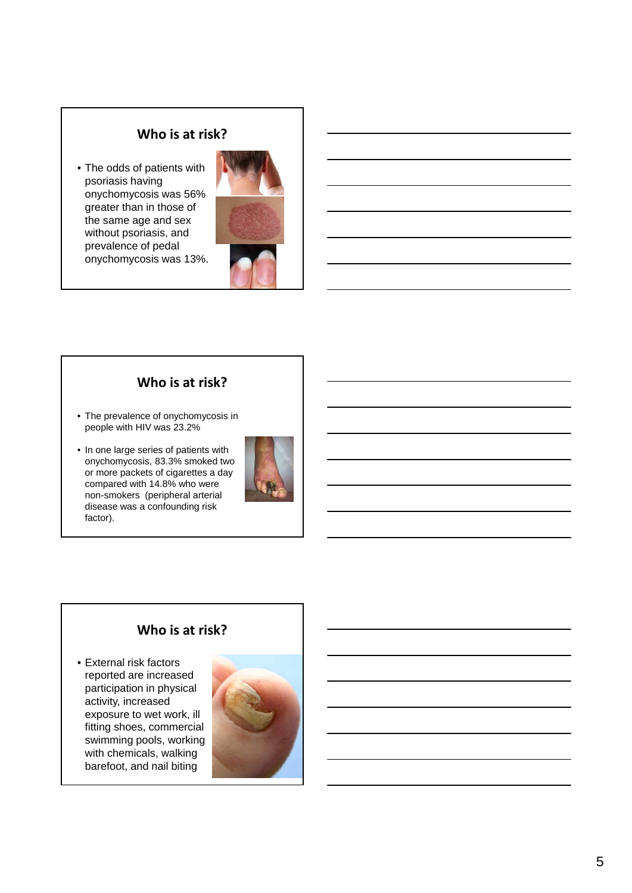### **Who is at risk?**

• The odds of patients with psoriasis having onychomycosis was 56% greater than in those of the same age and sex without psoriasis, and prevalence of pedal onychomycosis was 13%.



### **Who is at risk?**

- The prevalence of onychomycosis in people with HIV was 23.2%
- In one large series of patients with onychomycosis, 83.3% smoked two or more packets of cigarettes a day compared with 14.8% who were non-smokers (peripheral arterial disease was a confounding risk factor).



### **Who is at risk?**

• External risk factors reported are increased participation in physical activity, increased exposure to wet work, ill fitting shoes, commercial swimming pools, working with chemicals, walking barefoot, and nail biting

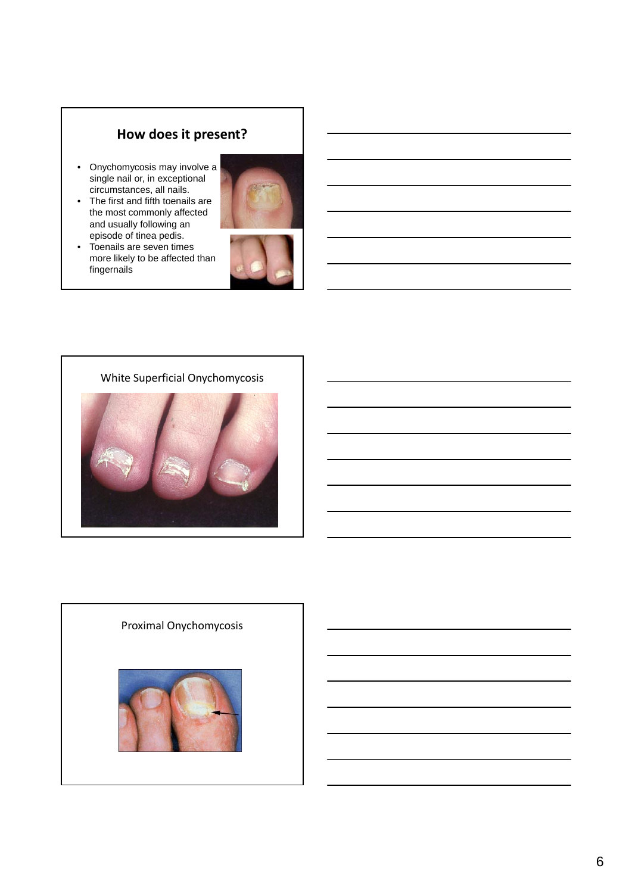### **How does it present?**

- Onychomycosis may involve a single nail or, in exceptional circumstances, all nails.
- The first and fifth toenails are the most commonly affected and usually following an episode of tinea pedis.



• Toenails are seven times more likely to be affected than fingernails







# Proximal Onychomycosis

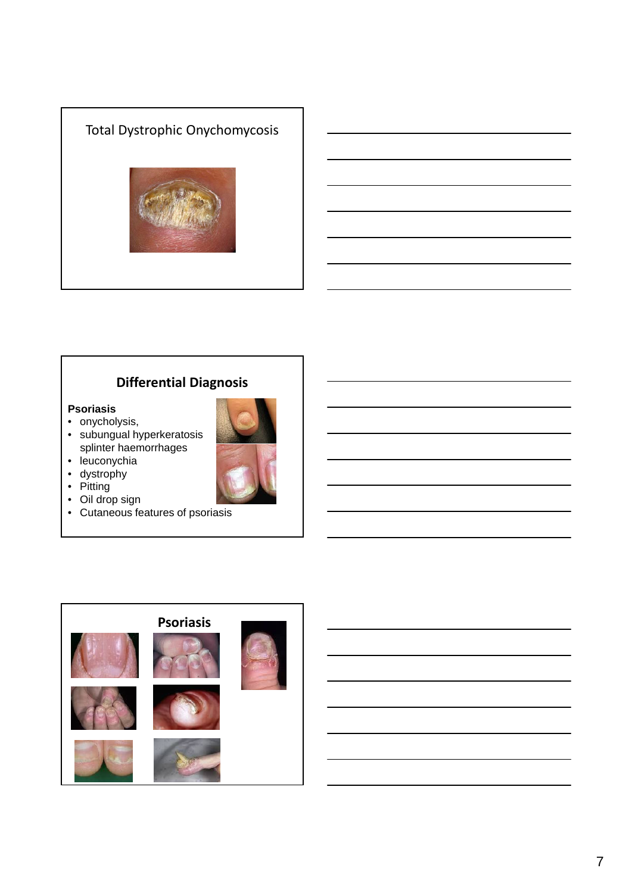# Total Dystrophic Onychomycosis

### **Differential Diagnosis**

### **Psoriasis**

- onycholysis,
- subungual hyperkeratosis splinter haemorrhages



- dystrophy
- Pitting
- Oil drop sign
- Cutaneous features of psoriasis

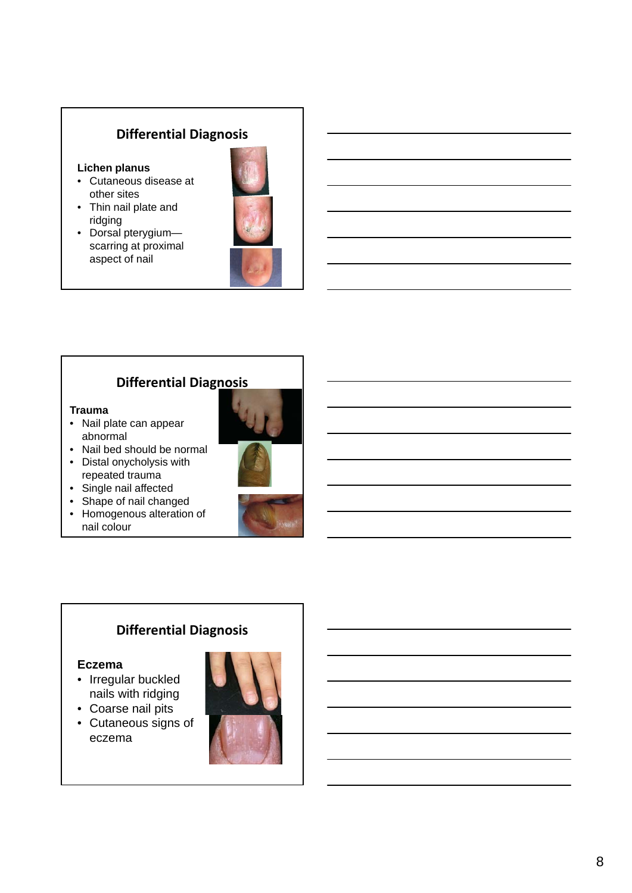### **Differential Diagnosis**

### **Lichen planus**

- Cutaneous disease at other sites
- Thin nail plate and ridging
- Dorsal pterygium scarring at proximal aspect of nail



### **Differential Diagnosis**

### **Trauma**

- Nail plate can appear abnormal
- Nail bed should be normal
- Distal onycholysis with repeated trauma
- Single nail affected
- Shape of nail changed
- Homogenous alteration of
- nail colour





### **Differential Diagnosis**

### **Eczema**

- Irregular buckled nails with ridging
- Coarse nail pits
- Cutaneous signs of eczema

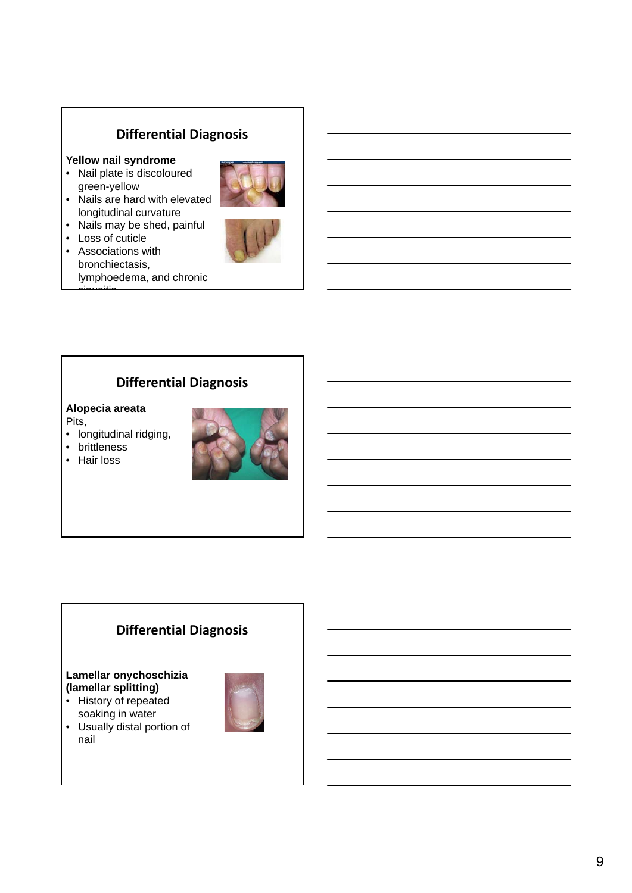### **Differential Diagnosis**

### **Yellow nail syndrome**

• Nail plate is discoloured green-yellow



- Nails are hard with elevated longitudinal curvature
- Nails may be shed, painful
- Loss of cuticle
- Associations with bronchiectasis, lymphoedema, and chronic sinusitis



### **Differential Diagnosis**

### **Alopecia areata**

Pits,

- longitudinal ridging,
- brittleness
- Hair loss



### **Differential Diagnosis**

### **Lamellar onychoschizia (lamellar splitting)**

- History of repeated soaking in water
- Usually distal portion of nail

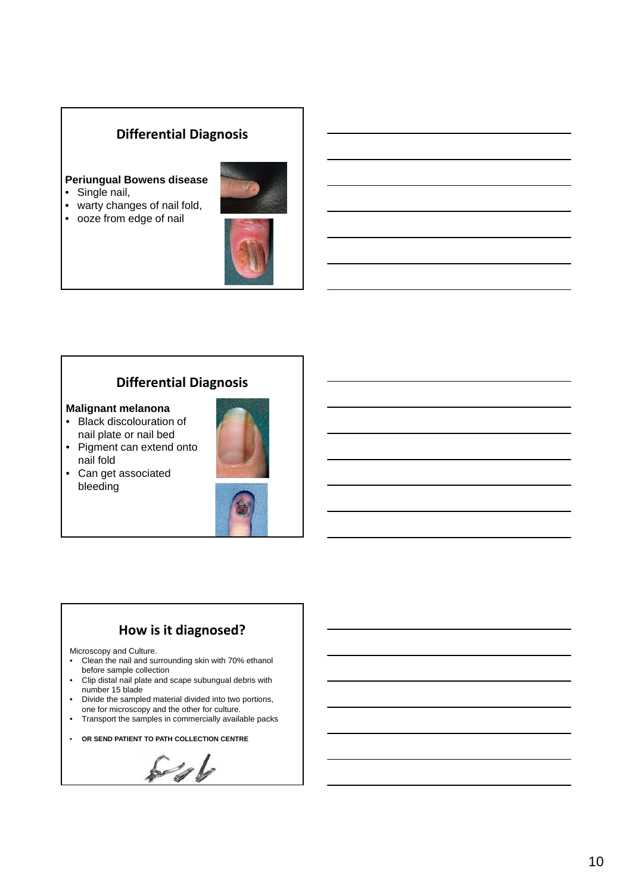### **Differential Diagnosis**

### **Periungual Bowens disease**

- Single nail,
- warty changes of nail fold,
- ooze from edge of nail



### **Differential Diagnosis**

### **Malignant melanona**

- Black discolouration of nail plate or nail bed
- Pigment can extend onto nail fold
- Can get associated bleeding



### **How is it diagnosed?**

Microscopy and Culture.

- Clean the nail and surrounding skin with 70% ethanol before sample collection
- Clip distal nail plate and scape subungual debris with number 15 blade
- Divide the sampled material divided into two portions, one for microscopy and the other for culture.
- Transport the samples in commercially available packs
- **OR SEND PATIENT TO PATH COLLECTION CENTRE**

 $5/1$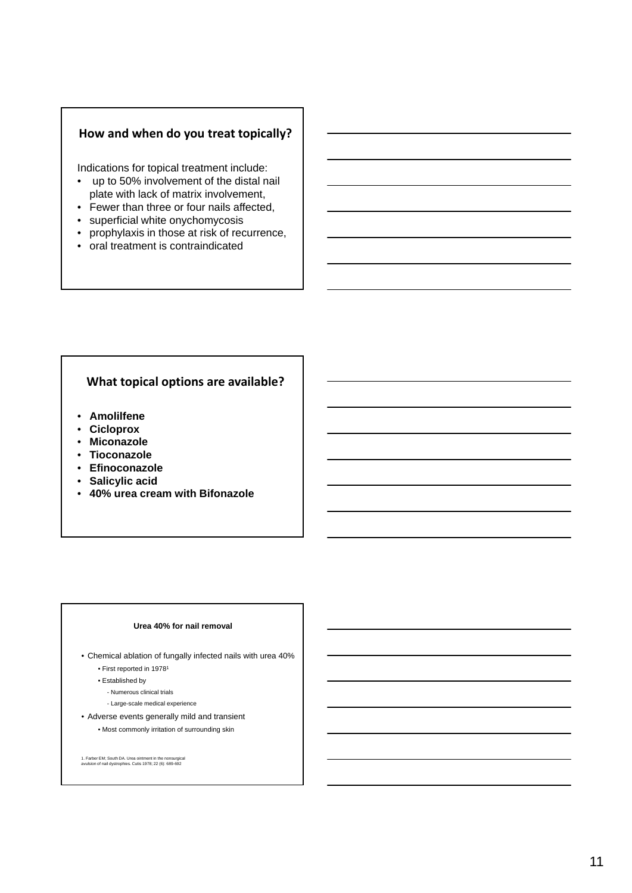### **How and when do you treat topically?**

Indications for topical treatment include:

- up to 50% involvement of the distal nail plate with lack of matrix involvement,
- Fewer than three or four nails affected,
- superficial white onychomycosis
- prophylaxis in those at risk of recurrence,
- oral treatment is contraindicated

### **What topical options are available?**

- **Amolilfene**
- **Cicloprox**
- **Miconazole**
- **Tioconazole**
- **Efinoconazole**
- **Salicylic acid**
- **40% urea cream with Bifonazole**

### **Urea 40% for nail removal**

• Chemical ablation of fungally infected nails with urea 40% • First reported in 19781

- Established by
	- Numerous clinical trials
	- Large-scale medical experience
- Adverse events generally mild and transient

• Most commonly irritation of surrounding skin

1. Farber EM; South DA. Urea ointment in the nonsurgical avulsion of nail dystrophies. Cutis 1978; 22 (6): 689-692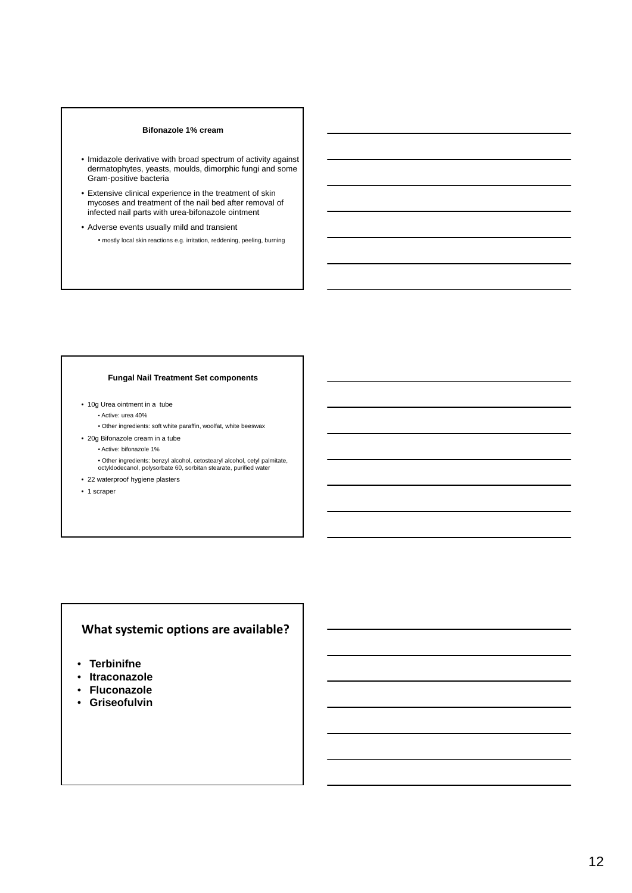### **Bifonazole 1% cream**

- Imidazole derivative with broad spectrum of activity against dermatophytes, yeasts, moulds, dimorphic fungi and some Gram-positive bacteria
- Extensive clinical experience in the treatment of skin mycoses and treatment of the nail bed after removal of infected nail parts with urea-bifonazole ointment
- Adverse events usually mild and transient
	- mostly local skin reactions e.g. irritation, reddening, peeling, burning

### **Fungal Nail Treatment Set components**

- 10g Urea ointment in a tube
	- Active: urea 40%
	- Other ingredients: soft white paraffin, woolfat, white beeswax
- 20g Bifonazole cream in a tube
	- Active: bifonazole 1%
	- Other ingredients: benzyl alcohol, cetostearyl alcohol, cetyl palmitate, octyldodecanol, polysorbate 60, sorbitan stearate, purified water
- 22 waterproof hygiene plasters
- 1 scraper

### **What systemic options are available?**

- **Terbinifne**
- **Itraconazole**
- **Fluconazole**
- **Griseofulvin**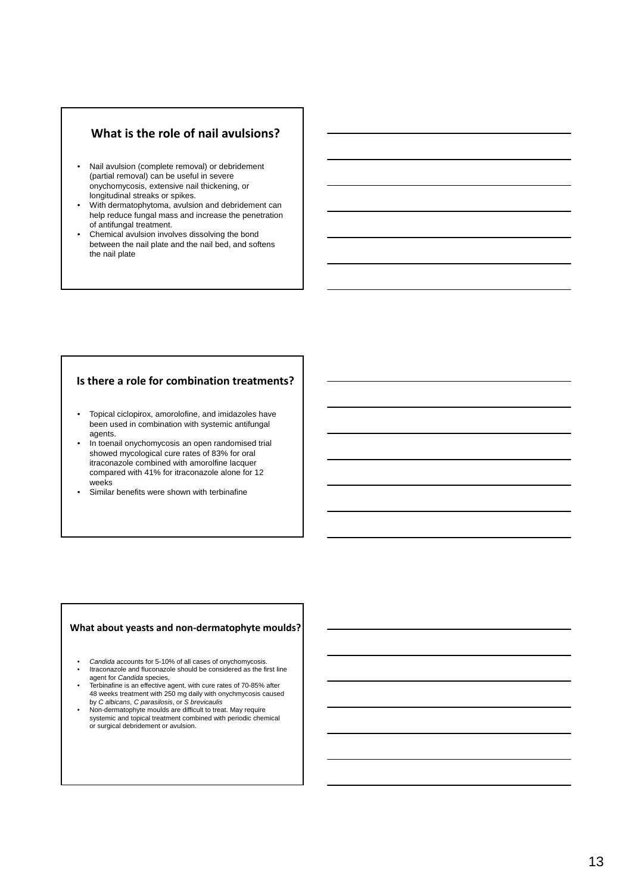### **What is the role of nail avulsions?**

- Nail avulsion (complete removal) or debridement (partial removal) can be useful in severe onychomycosis, extensive nail thickening, or longitudinal streaks or spikes.
- With dermatophytoma, avulsion and debridement can help reduce fungal mass and increase the penetration of antifungal treatment.
- Chemical avulsion involves dissolving the bond between the nail plate and the nail bed, and softens the nail plate

### **Is there a role for combination treatments?**

- Topical ciclopirox, amorolofine, and imidazoles have been used in combination with systemic antifungal agents.
- In toenail onychomycosis an open randomised trial showed mycological cure rates of 83% for oral itraconazole combined with amorolfine lacquer compared with 41% for itraconazole alone for 12 weeks
- Similar benefits were shown with terbinafine

### **What about yeasts and non‐dermatophyte moulds?**

- *Candida* accounts for 5-10% of all cases of onychomycosis. • Itraconazole and fluconazole should be considered as the first line
- agent for *Candida* species, Terbinafine is an effective agent, with cure rates of 70-85% after
- 48 weeks treatment with 250 mg daily with onychmycosis caused by *C albicans*, *C parasilosis*, or *S brevicaulis*
- Non-dermatophyte moulds are difficult to treat. May require systemic and topical treatment combined with periodic chemical or surgical debridement or avulsion.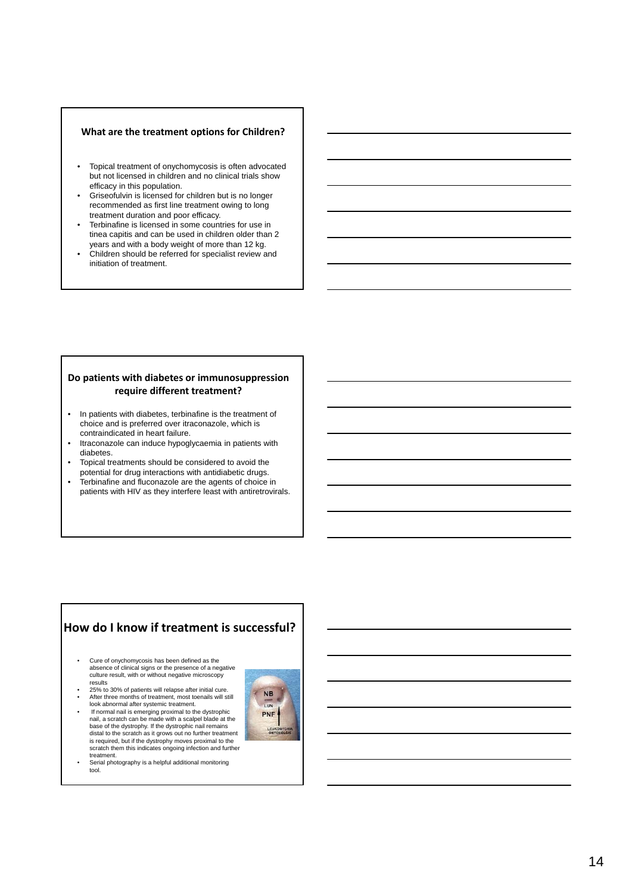### **What are the treatment options for Children?**

- Topical treatment of onychomycosis is often advocated but not licensed in children and no clinical trials show efficacy in this population.
- Griseofulvin is licensed for children but is no longer recommended as first line treatment owing to long treatment duration and poor efficacy.
- Terbinafine is licensed in some countries for use in tinea capitis and can be used in children older than 2 years and with a body weight of more than 12 kg.
- Children should be referred for specialist review and initiation of treatment.

### **Do patients with diabetes or immunosuppression require different treatment?**

- In patients with diabetes, terbinafine is the treatment of choice and is preferred over itraconazole, which is contraindicated in heart failure.
- Itraconazole can induce hypoglycaemia in patients with diabetes.
- Topical treatments should be considered to avoid the potential for drug interactions with antidiabetic drugs.
- Terbinafine and fluconazole are the agents of choice in patients with HIV as they interfere least with antiretrovirals.

### **How do I know if treatment is successful?**

- Cure of onychomycosis has been defined as the absence of clinical signs or the presence of a negative culture result, with or without negative microscopy results
- 25% to 30% of patients will relapse after initial cure. • After three months of treatment, most toenails will still
- look abnormal after systemic treatment. If normal nail is emerging proximal to the dystrophic nail, a scratch can be made with a scalpel blade at the base of the dystrophy. If the dystrophic nail remains distal to the scratch as it grows out no further treatment is required, but if the dystrophy moves proximal to the scratch them this indicates ongoing infection and further
- treatment. Serial photography is a helpful additional monitoring tool.

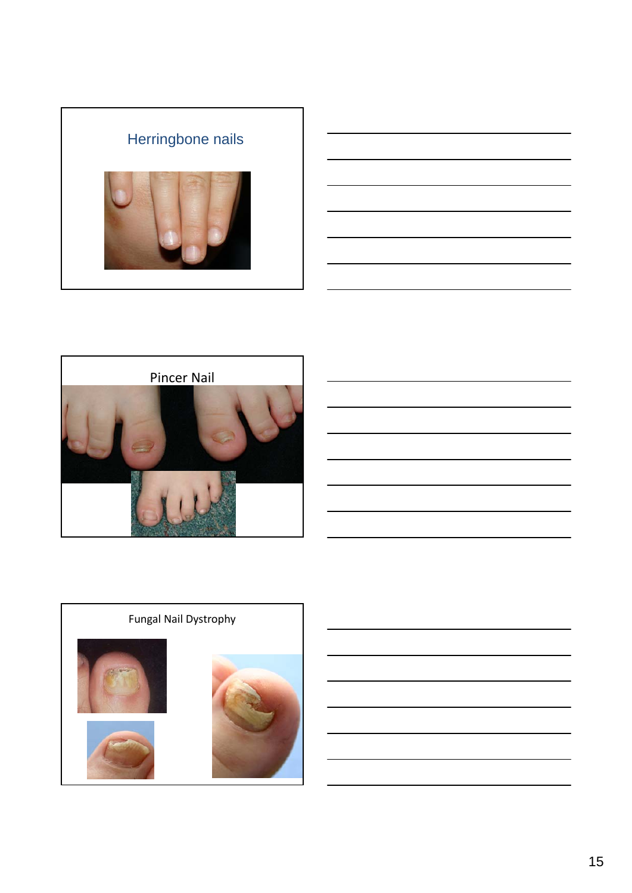





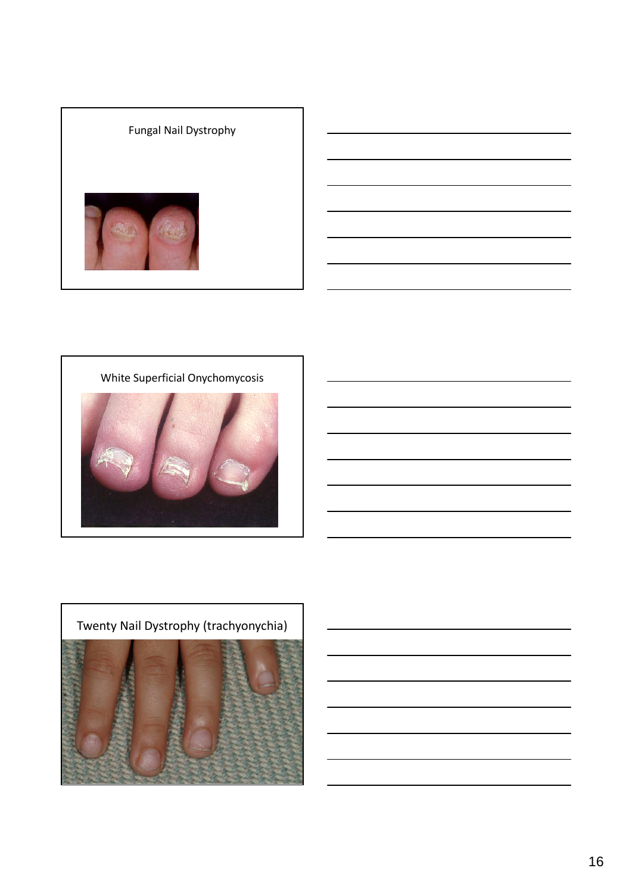### Fungal Nail Dystrophy



White Superficial Onychomycosis